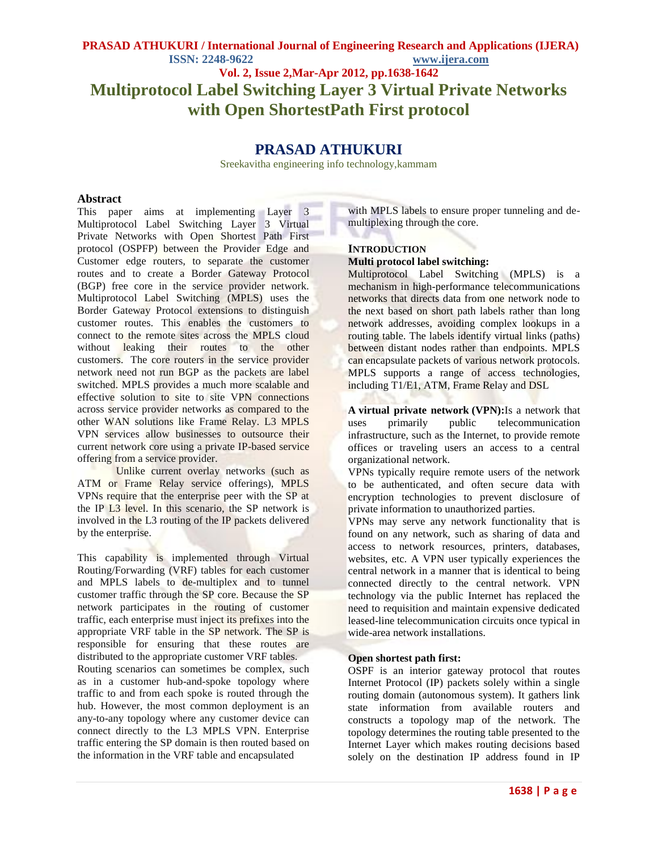# **Vol. 2, Issue 2,Mar-Apr 2012, pp.1638-1642 Multiprotocol Label Switching Layer 3 Virtual Private Networks with Open ShortestPath First protocol**

# **PRASAD ATHUKURI**

Sreekavitha engineering info technology,kammam

### **Abstract**

This paper aims at implementing Layer 3 Multiprotocol Label Switching Layer 3 Virtual Private Networks with Open Shortest Path First protocol (OSPFP) between the Provider Edge and Customer edge routers, to separate the customer routes and to create a Border Gateway Protocol (BGP) free core in the service provider network. Multiprotocol Label Switching (MPLS) uses the Border Gateway Protocol extensions to distinguish customer routes. This enables the customers to connect to the remote sites across the MPLS cloud without leaking their routes to the other customers. The core routers in the service provider network need not run BGP as the packets are label switched. MPLS provides a much more scalable and effective solution to site to site VPN connections across service provider networks as compared to the other WAN solutions like Frame Relay. L3 MPLS VPN services allow businesses to outsource their current network core using a private IP-based service offering from a service provider.

Unlike current overlay networks (such as ATM or Frame Relay service offerings), MPLS VPNs require that the enterprise peer with the SP at the IP L3 level. In this scenario, the SP network is involved in the L3 routing of the IP packets delivered by the enterprise.

This capability is implemented through Virtual Routing/Forwarding (VRF) tables for each customer and MPLS labels to de-multiplex and to tunnel customer traffic through the SP core. Because the SP network participates in the routing of customer traffic, each enterprise must inject its prefixes into the appropriate VRF table in the SP network. The SP is responsible for ensuring that these routes are distributed to the appropriate customer VRF tables.

Routing scenarios can sometimes be complex, such as in a customer hub-and-spoke topology where traffic to and from each spoke is routed through the hub. However, the most common deployment is an any-to-any topology where any customer device can connect directly to the L3 MPLS VPN. Enterprise traffic entering the SP domain is then routed based on the information in the VRF table and encapsulated

with MPLS labels to ensure proper tunneling and demultiplexing through the core.

# **INTRODUCTION**

### **Multi protocol label switching:**

Multiprotocol Label Switching (MPLS) is a mechanism in high-performance telecommunications networks that directs data from one network node to the next based on short path labels rather than long network addresses, avoiding complex lookups in a routing table. The labels identify virtual links (paths) between distant nodes rather than endpoints. MPLS can encapsulate packets of various network protocols. MPLS supports a range of access technologies, including T1/E1, ATM, Frame Relay and DSL

**A virtual private network (VPN):**Is a network that uses primarily public telecommunication infrastructure, such as the Internet, to provide remote offices or traveling users an access to a central organizational network.

VPNs typically require remote users of the network to be authenticated, and often secure data with encryption technologies to prevent disclosure of private information to unauthorized parties.

VPNs may serve any network functionality that is found on any network, such as sharing of data and access to network resources, printers, databases, websites, etc. A VPN user typically experiences the central network in a manner that is identical to being connected directly to the central network. VPN technology via the public Internet has replaced the need to requisition and maintain expensive dedicated leased-line telecommunication circuits once typical in wide-area network installations.

#### **Open shortest path first:**

OSPF is an interior gateway protocol that routes Internet Protocol (IP) packets solely within a single routing domain (autonomous system). It gathers link state information from available routers and constructs a topology map of the network. The topology determines the routing table presented to the Internet Layer which makes routing decisions based solely on the destination IP address found in IP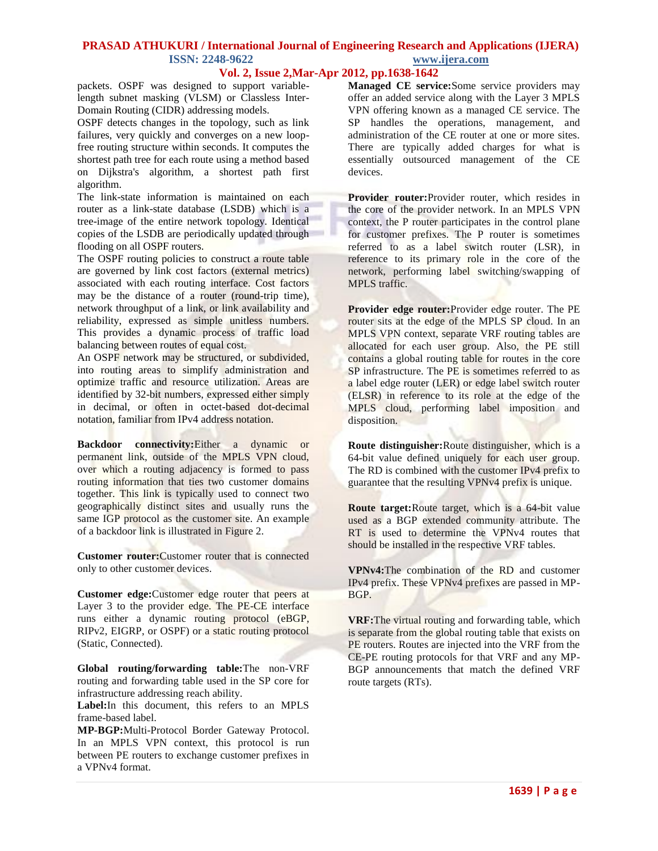# **Vol. 2, Issue 2,Mar-Apr 2012, pp.1638-1642**

packets. OSPF was designed to support variablelength subnet masking (VLSM) or Classless Inter-Domain Routing (CIDR) addressing models.

OSPF detects changes in the topology, such as link failures, very quickly and converges on a new loopfree routing structure within seconds. It computes the shortest path tree for each route using a method based on Dijkstra's algorithm, a shortest path first algorithm.

The link-state information is maintained on each router as a link-state database (LSDB) which is a tree-image of the entire network topology. Identical copies of the LSDB are periodically updated through flooding on all OSPF routers.

The OSPF routing policies to construct a route table are governed by link cost factors (external metrics) associated with each routing interface. Cost factors may be the distance of a router (round-trip time), network throughput of a link, or link availability and reliability, expressed as simple unitless numbers. This provides a dynamic process of traffic load balancing between routes of equal cost.

An OSPF network may be structured, or subdivided, into routing areas to simplify administration and optimize traffic and resource utilization. Areas are identified by 32-bit numbers, expressed either simply in decimal, or often in octet-based dot-decimal notation, familiar from IPv4 address notation.

**Backdoor connectivity:**Either a dynamic or permanent link, outside of the MPLS VPN cloud, over which a routing adjacency is formed to pass routing information that ties two customer domains together. This link is typically used to connect two geographically distinct sites and usually runs the same IGP protocol as the customer site. An example of a backdoor link is illustrated in [Figure](http://www.cisco.com/en/US/docs/solutions/Enterprise/WAN_and_MAN/L3VPNCon.html#wp317467) 2.

**Customer router:**Customer router that is connected only to other customer devices.

**Customer edge:**Customer edge router that peers at Layer 3 to the provider edge. The PE-CE interface runs either a dynamic routing protocol (eBGP, RIPv2, EIGRP, or OSPF) or a static routing protocol (Static, Connected).

**Global routing/forwarding table:**The non-VRF routing and forwarding table used in the SP core for infrastructure addressing reach ability.

**Label:**In this document, this refers to an MPLS frame-based label.

**MP-BGP:**Multi-Protocol Border Gateway Protocol. In an MPLS VPN context, this protocol is run between PE routers to exchange customer prefixes in a VPNv4 format.

**Managed CE service:**Some service providers may offer an added service along with the Layer 3 MPLS VPN offering known as a managed CE service. The SP handles the operations, management, and administration of the CE router at one or more sites. There are typically added charges for what is essentially outsourced management of the CE devices.

**Provider router:**Provider router, which resides in the core of the provider network. In an MPLS VPN context, the P router participates in the control plane for customer prefixes. The P router is sometimes referred to as a label switch router (LSR), in reference to its primary role in the core of the network, performing label switching/swapping of MPLS traffic.

**Provider edge router:**Provider edge router. The PE router sits at the edge of the MPLS SP cloud. In an MPLS VPN context, separate VRF routing tables are allocated for each user group. Also, the PE still contains a global routing table for routes in the core SP infrastructure. The PE is sometimes referred to as a label edge router (LER) or edge label switch router (ELSR) in reference to its role at the edge of the MPLS cloud, performing label imposition and disposition.

**Route distinguisher:**Route distinguisher, which is a 64-bit value defined uniquely for each user group. The RD is combined with the customer IPv4 prefix to guarantee that the resulting VPNv4 prefix is unique.

**Route target:**Route target, which is a 64-bit value used as a BGP extended community attribute. The RT is used to determine the VPNv4 routes that should be installed in the respective VRF tables.

**VPNv4:**The combination of the RD and customer IPv4 prefix. These VPNv4 prefixes are passed in MP-BGP.

**VRF:**The virtual routing and forwarding table, which is separate from the global routing table that exists on PE routers. Routes are injected into the VRF from the CE-PE routing protocols for that VRF and any MP-BGP announcements that match the defined VRF route targets (RTs).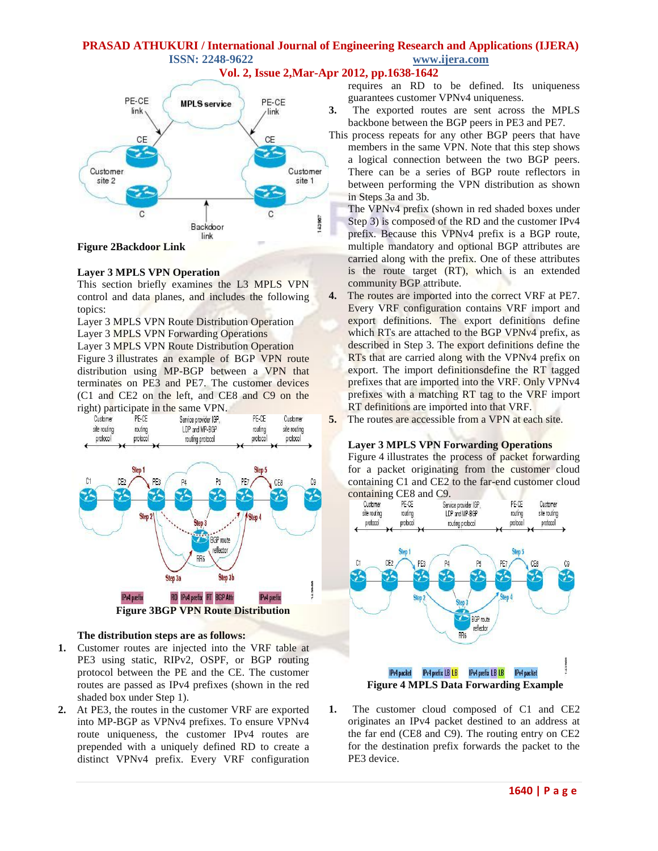



# **Figure 2Backdoor Link**

#### **Layer 3 MPLS VPN Operation**

This section briefly examines the L3 MPLS VPN control and data planes, and includes the following topics:

Layer 3 MPLS VPN Route Distribution Operation Layer 3 MPLS VPN Forwarding Operations

Layer 3 MPLS VPN Route Distribution Operation Figure 3 illustrates an example of BGP VPN route distribution using MP-BGP between a VPN that terminates on PE3 and PE7. The customer devices (C1 and CE2 on the left, and CE8 and C9 on the right) participate in the same VPN.



#### **The distribution steps are as follows:**

- **1.** Customer routes are injected into the VRF table at PE3 using static, RIPv2, OSPF, or BGP routing protocol between the PE and the CE. The customer routes are passed as IPv4 prefixes (shown in the red shaded box under Step 1).
- **2.** At PE3, the routes in the customer VRF are exported into MP-BGP as VPNv4 prefixes. To ensure VPNv4 route uniqueness, the customer IPv4 routes are prepended with a uniquely defined RD to create a distinct VPNv4 prefix. Every VRF configuration

requires an RD to be defined. Its uniqueness guarantees customer VPNv4 uniqueness.

**3.** The exported routes are sent across the MPLS backbone between the BGP peers in PE3 and PE7.

This process repeats for any other BGP peers that have members in the same VPN. Note that this step shows a logical connection between the two BGP peers. There can be a series of BGP route reflectors in between performing the VPN distribution as shown in Steps 3a and 3b.

The VPNv4 prefix (shown in red shaded boxes under Step 3) is composed of the RD and the customer IPv4 prefix. Because this VPNv4 prefix is a BGP route, multiple mandatory and optional BGP attributes are carried along with the prefix. One of these attributes is the route target (RT), which is an extended community BGP attribute.

- **4.** The routes are imported into the correct VRF at PE7. Every VRF configuration contains VRF import and export definitions. The export definitions define which RTs are attached to the BGP VPNv4 prefix, as described in Step 3. The export definitions define the RTs that are carried along with the VPNv4 prefix on export. The import definitionsdefine the RT tagged prefixes that are imported into the VRF. Only VPNv4 prefixes with a matching RT tag to the VRF import RT definitions are imported into that VRF.
- **5.** The routes are accessible from a VPN at each site.

#### **Layer 3 MPLS VPN Forwarding Operations**

[Figure](http://www.cisco.com/en/US/docs/solutions/Enterprise/WAN_and_MAN/L3VPNCon.html#wp309688) 4 illustrates the process of packet forwarding for a packet originating from the customer cloud containing C1 and CE2 to the far-end customer cloud



**1.** The customer cloud composed of C1 and CE2 originates an IPv4 packet destined to an address at the far end (CE8 and C9). The routing entry on CE2 for the destination prefix forwards the packet to the PE3 device.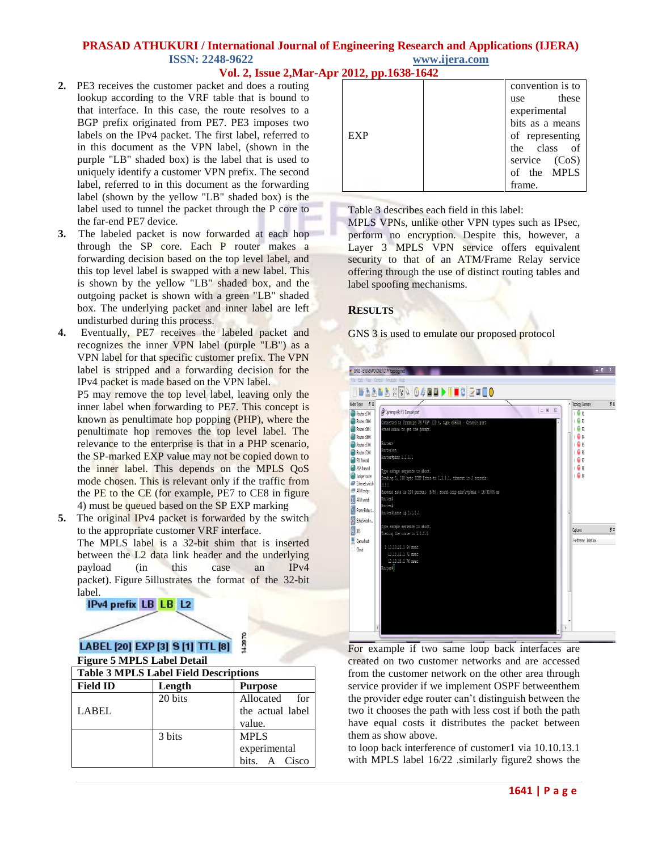## **Vol. 2, Issue 2,Mar-Apr 2012, pp.1638-1642**

- **2.** PE3 receives the customer packet and does a routing lookup according to the VRF table that is bound to that interface. In this case, the route resolves to a BGP prefix originated from PE7. PE3 imposes two labels on the IPv4 packet. The first label, referred to in this document as the VPN label, (shown in the purple "LB" shaded box) is the label that is used to uniquely identify a customer VPN prefix. The second label, referred to in this document as the forwarding label (shown by the yellow "LB" shaded box) is the label used to tunnel the packet through the P core to the far-end PE7 device.
- **3.** The labeled packet is now forwarded at each hop through the SP core. Each P router makes a forwarding decision based on the top level label, and this top level label is swapped with a new label. This is shown by the yellow "LB" shaded box, and the outgoing packet is shown with a green "LB" shaded box. The underlying packet and inner label are left undisturbed during this process.
- **4.** Eventually, PE7 receives the labeled packet and recognizes the inner VPN label (purple "LB") as a VPN label for that specific customer prefix. The VPN label is stripped and a forwarding decision for the IPv4 packet is made based on the VPN label.

P5 may remove the top level label, leaving only the inner label when forwarding to PE7. This concept is known as penultimate hop popping (PHP), where the penultimate hop removes the top level label. The relevance to the enterprise is that in a PHP scenario, the SP-marked EXP value may not be copied down to the inner label. This depends on the MPLS QoS mode chosen. This is relevant only if the traffic from the PE to the CE (for example, PE7 to CE8 in figure 4) must be queued based on the SP EXP marking

**5.** The original IPv4 packet is forwarded by the switch to the appropriate customer VRF interface.

The MPLS label is a 32-bit shim that is inserted between the L2 data link header and the underlying payload (in this case an IPv4 packet). [Figure](http://www.cisco.com/en/US/docs/solutions/Enterprise/WAN_and_MAN/L3VPNCon.html#wp309695) 5illustrates the format of the 32-bit label.

### IPv4 prefix LB LB L2

#### 143870 LABEL [20] EXP [3] S [1] TTL [8] **Figure 5 MPLS Label Detail**

| <b>Table 3 MPLS Label Field Descriptions</b> |         |                  |
|----------------------------------------------|---------|------------------|
| <b>Field ID</b>                              | Length  | <b>Purpose</b>   |
|                                              | 20 bits | Allocated for    |
| <b>LABEL</b>                                 |         | the actual label |
|                                              |         | value.           |
|                                              | 3 bits  | <b>MPLS</b>      |
|                                              |         | experimental     |
|                                              |         | bits. A Cisco    |

|            | convention is to |
|------------|------------------|
|            | use these        |
|            | experimental     |
|            | bits as a means  |
| <b>EXP</b> | of representing  |
|            | the class of     |
|            | service (CoS)    |
|            | of the MPLS      |
|            | frame.           |

[Table](http://www.cisco.com/en/US/docs/solutions/Enterprise/WAN_and_MAN/L3VPNCon.html#wp314927) 3 describes each field in this label:

MPLS VPNs, unlike other VPN types such as IPsec, perform no encryption. Despite this, however, a Layer 3 MPLS VPN service offers equivalent security to that of an ATM/Frame Relay service offering through the use of distinct routing tables and label spoofing mechanisms.

### **RESULTS**

GNS 3 is used to emulate our proposed protocol



For example if two same loop back interfaces are created on two customer networks and are accessed from the customer network on the other area through service provider if we implement OSPF betweenthem the provider edge router can't distinguish between the two it chooses the path with less cost if both the path have equal costs it distributes the packet between them as show above.

to loop back interference of customer1 via 10.10.13.1 with MPLS label 16/22 .similarly figure2 shows the